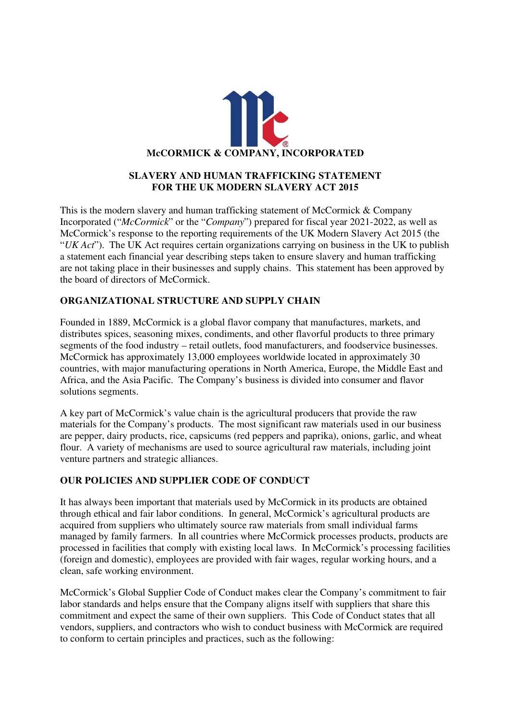

### **SLAVERY AND HUMAN TRAFFICKING STATEMENT FOR THE UK MODERN SLAVERY ACT 2015**

This is the modern slavery and human trafficking statement of McCormick & Company Incorporated ("*McCormick*" or the "*Company*") prepared for fiscal year 2021-2022, as well as McCormick's response to the reporting requirements of the UK Modern Slavery Act 2015 (the "*UK Act*"). The UK Act requires certain organizations carrying on business in the UK to publish a statement each financial year describing steps taken to ensure slavery and human trafficking are not taking place in their businesses and supply chains. This statement has been approved by the board of directors of McCormick.

# **ORGANIZATIONAL STRUCTURE AND SUPPLY CHAIN**

Founded in 1889, McCormick is a global flavor company that manufactures, markets, and distributes spices, seasoning mixes, condiments, and other flavorful products to three primary segments of the food industry – retail outlets, food manufacturers, and foodservice businesses. McCormick has approximately 13,000 employees worldwide located in approximately 30 countries, with major manufacturing operations in North America, Europe, the Middle East and Africa, and the Asia Pacific. The Company's business is divided into consumer and flavor solutions segments.

A key part of McCormick's value chain is the agricultural producers that provide the raw materials for the Company's products. The most significant raw materials used in our business are pepper, dairy products, rice, capsicums (red peppers and paprika), onions, garlic, and wheat flour. A variety of mechanisms are used to source agricultural raw materials, including joint venture partners and strategic alliances.

# **OUR POLICIES AND SUPPLIER CODE OF CONDUCT**

It has always been important that materials used by McCormick in its products are obtained through ethical and fair labor conditions. In general, McCormick's agricultural products are acquired from suppliers who ultimately source raw materials from small individual farms managed by family farmers. In all countries where McCormick processes products, products are processed in facilities that comply with existing local laws. In McCormick's processing facilities (foreign and domestic), employees are provided with fair wages, regular working hours, and a clean, safe working environment.

McCormick's Global Supplier Code of Conduct makes clear the Company's commitment to fair labor standards and helps ensure that the Company aligns itself with suppliers that share this commitment and expect the same of their own suppliers. This Code of Conduct states that all vendors, suppliers, and contractors who wish to conduct business with McCormick are required to conform to certain principles and practices, such as the following: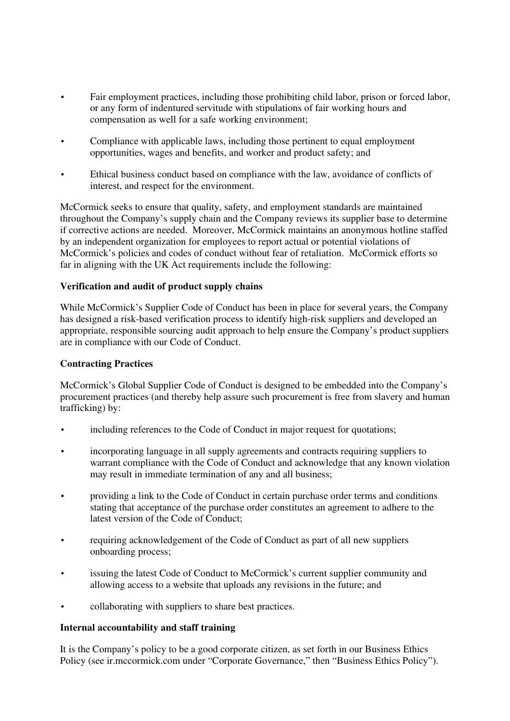- Fair employment practices, including those prohibiting child labor, prison or forced labor, or any form of indentured servitude with stipulations of fair working hours and compensation as well for a safe working environment;
- Compliance with applicable laws, including those pertinent to equal employment opportunities, wages and benefits, and worker and product safety; and
- Ethical business conduct based on compliance with the law, avoidance of conflicts of interest, and respect for the environment.

McCormick seeks to ensure that quality, safety, and employment standards are maintained throughout the Company's supply chain and the Company reviews its supplier base to determine if corrective actions are needed. Moreover, McCormick maintains an anonymous hotline staffed by an independent organization for employees to report actual or potential violations of McCormick's policies and codes of conduct without fear of retaliation. McCormick efforts so far in aligning with the UK Act requirements include the following:

### **Verification and audit of product supply chains**

While McCormick's Supplier Code of Conduct has been in place for several years, the Company has designed a risk-based verification process to identify high-risk suppliers and developed an appropriate, responsible sourcing audit approach to help ensure the Company's product suppliers are in compliance with our Code of Conduct.

### **Contracting Practices**

McCormick's Global Supplier Code of Conduct is designed to be embedded into the Company's procurement practices (and thereby help assure such procurement is free from slavery and human trafficking) by:

- including references to the Code of Conduct in major request for quotations;
- incorporating language in all supply agreements and contracts requiring suppliers to warrant compliance with the Code of Conduct and acknowledge that any known violation may result in immediate termination of any and all business;
- providing a link to the Code of Conduct in certain purchase order terms and conditions stating that acceptance of the purchase order constitutes an agreement to adhere to the latest version of the Code of Conduct;
- requiring acknowledgement of the Code of Conduct as part of all new suppliers onboarding process;
- issuing the latest Code of Conduct to McCormick's current supplier community and allowing access to a website that uploads any revisions in the future; and
- collaborating with suppliers to share best practices.

#### **Internal accountability and staff training**

It is the Company's policy to be a good corporate citizen, as set forth in our Business Ethics Policy (see ir.mccormick.com under "Corporate Governance," then "Business Ethics Policy").